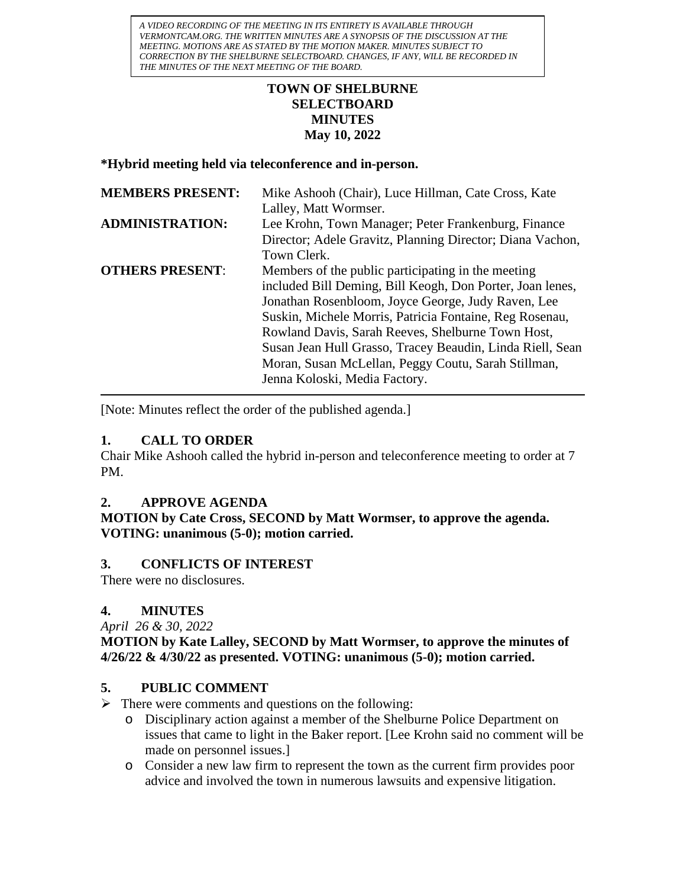*A VIDEO RECORDING OF THE MEETING IN ITS ENTIRETY IS AVAILABLE THROUGH VERMONTCAM.ORG. THE WRITTEN MINUTES ARE A SYNOPSIS OF THE DISCUSSION AT THE MEETING. MOTIONS ARE AS STATED BY THE MOTION MAKER. MINUTES SUBJECT TO CORRECTION BY THE SHELBURNE SELECTBOARD. CHANGES, IF ANY, WILL BE RECORDED IN THE MINUTES OF THE NEXT MEETING OF THE BOARD.*

#### **TOWN OF SHELBURNE SELECTBOARD MINUTES May 10, 2022**

**\*Hybrid meeting held via teleconference and in-person.**

| <b>MEMBERS PRESENT:</b> | Mike Ashooh (Chair), Luce Hillman, Cate Cross, Kate       |
|-------------------------|-----------------------------------------------------------|
|                         | Lalley, Matt Wormser.                                     |
| <b>ADMINISTRATION:</b>  | Lee Krohn, Town Manager; Peter Frankenburg, Finance       |
|                         | Director; Adele Gravitz, Planning Director; Diana Vachon, |
|                         | Town Clerk.                                               |
| <b>OTHERS PRESENT:</b>  | Members of the public participating in the meeting        |
|                         | included Bill Deming, Bill Keogh, Don Porter, Joan lenes, |
|                         | Jonathan Rosenbloom, Joyce George, Judy Raven, Lee        |
|                         | Suskin, Michele Morris, Patricia Fontaine, Reg Rosenau,   |
|                         | Rowland Davis, Sarah Reeves, Shelburne Town Host,         |
|                         | Susan Jean Hull Grasso, Tracey Beaudin, Linda Riell, Sean |
|                         | Moran, Susan McLellan, Peggy Coutu, Sarah Stillman,       |
|                         | Jenna Koloski, Media Factory.                             |

[Note: Minutes reflect the order of the published agenda.]

#### **1. CALL TO ORDER**

Chair Mike Ashooh called the hybrid in-person and teleconference meeting to order at 7 PM.

# **2. APPROVE AGENDA**

**MOTION by Cate Cross, SECOND by Matt Wormser, to approve the agenda. VOTING: unanimous (5-0); motion carried.**

# **3. CONFLICTS OF INTEREST**

There were no disclosures.

# **4. MINUTES**

*April 26 & 30, 2022*

# **MOTION by Kate Lalley, SECOND by Matt Wormser, to approve the minutes of 4/26/22 & 4/30/22 as presented. VOTING: unanimous (5-0); motion carried.**

# **5. PUBLIC COMMENT**

- $\triangleright$  There were comments and questions on the following:
	- o Disciplinary action against a member of the Shelburne Police Department on issues that came to light in the Baker report. [Lee Krohn said no comment will be made on personnel issues.]
	- o Consider a new law firm to represent the town as the current firm provides poor advice and involved the town in numerous lawsuits and expensive litigation.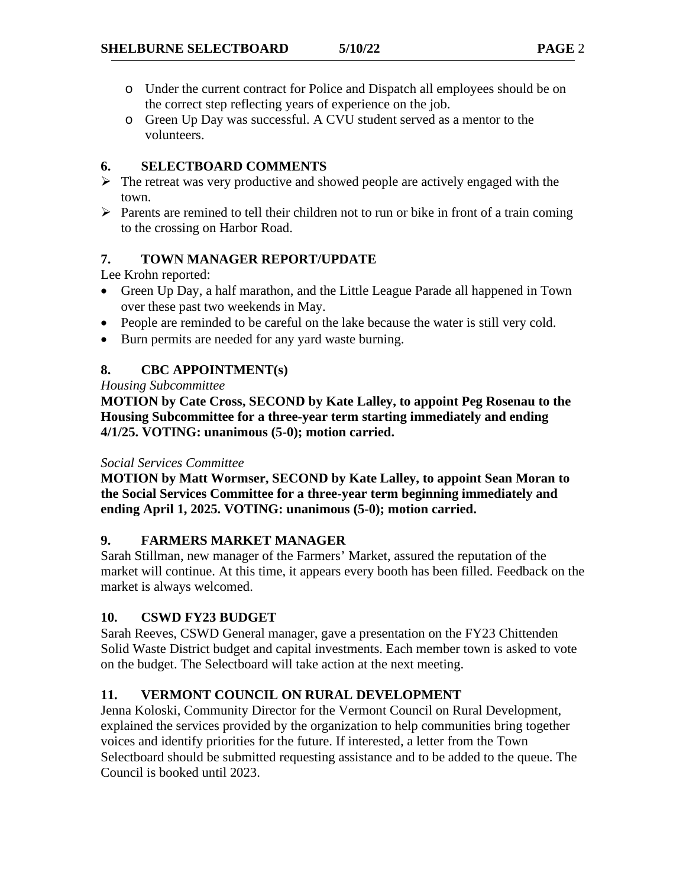- o Under the current contract for Police and Dispatch all employees should be on the correct step reflecting years of experience on the job.
- o Green Up Day was successful. A CVU student served as a mentor to the volunteers.

#### **6. SELECTBOARD COMMENTS**

- $\triangleright$  The retreat was very productive and showed people are actively engaged with the town.
- $\triangleright$  Parents are remined to tell their children not to run or bike in front of a train coming to the crossing on Harbor Road.

# **7. TOWN MANAGER REPORT/UPDATE**

Lee Krohn reported:

- Green Up Day, a half marathon, and the Little League Parade all happened in Town over these past two weekends in May.
- People are reminded to be careful on the lake because the water is still very cold.
- Burn permits are needed for any yard waste burning.

# **8. CBC APPOINTMENT(s)**

*Housing Subcommittee*

**MOTION by Cate Cross, SECOND by Kate Lalley, to appoint Peg Rosenau to the Housing Subcommittee for a three-year term starting immediately and ending 4/1/25. VOTING: unanimous (5-0); motion carried.**

#### *Social Services Committee*

**MOTION by Matt Wormser, SECOND by Kate Lalley, to appoint Sean Moran to the Social Services Committee for a three-year term beginning immediately and ending April 1, 2025. VOTING: unanimous (5-0); motion carried.**

#### **9. FARMERS MARKET MANAGER**

Sarah Stillman, new manager of the Farmers' Market, assured the reputation of the market will continue. At this time, it appears every booth has been filled. Feedback on the market is always welcomed.

# **10. CSWD FY23 BUDGET**

Sarah Reeves, CSWD General manager, gave a presentation on the FY23 Chittenden Solid Waste District budget and capital investments. Each member town is asked to vote on the budget. The Selectboard will take action at the next meeting.

# **11. VERMONT COUNCIL ON RURAL DEVELOPMENT**

Jenna Koloski, Community Director for the Vermont Council on Rural Development, explained the services provided by the organization to help communities bring together voices and identify priorities for the future. If interested, a letter from the Town Selectboard should be submitted requesting assistance and to be added to the queue. The Council is booked until 2023.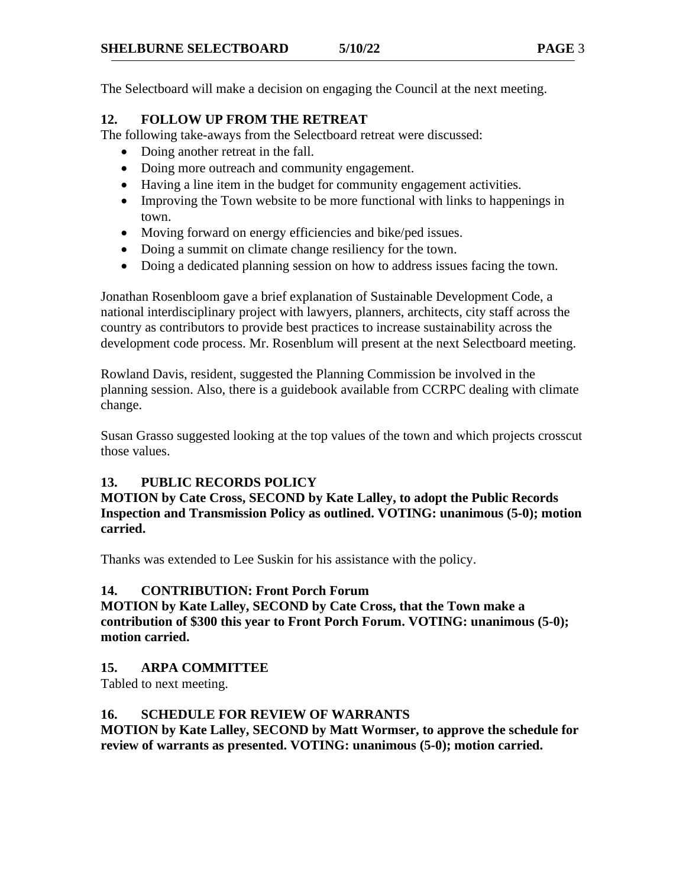The Selectboard will make a decision on engaging the Council at the next meeting.

# **12. FOLLOW UP FROM THE RETREAT**

The following take-aways from the Selectboard retreat were discussed:

- Doing another retreat in the fall.
- Doing more outreach and community engagement.
- Having a line item in the budget for community engagement activities.
- Improving the Town website to be more functional with links to happenings in town.
- Moving forward on energy efficiencies and bike/ped issues.
- Doing a summit on climate change resiliency for the town.
- Doing a dedicated planning session on how to address issues facing the town.

Jonathan Rosenbloom gave a brief explanation of Sustainable Development Code, a national interdisciplinary project with lawyers, planners, architects, city staff across the country as contributors to provide best practices to increase sustainability across the development code process. Mr. Rosenblum will present at the next Selectboard meeting.

Rowland Davis, resident, suggested the Planning Commission be involved in the planning session. Also, there is a guidebook available from CCRPC dealing with climate change.

Susan Grasso suggested looking at the top values of the town and which projects crosscut those values.

# **13. PUBLIC RECORDS POLICY**

**MOTION by Cate Cross, SECOND by Kate Lalley, to adopt the Public Records Inspection and Transmission Policy as outlined. VOTING: unanimous (5-0); motion carried.**

Thanks was extended to Lee Suskin for his assistance with the policy.

# **14. CONTRIBUTION: Front Porch Forum**

**MOTION by Kate Lalley, SECOND by Cate Cross, that the Town make a contribution of \$300 this year to Front Porch Forum. VOTING: unanimous (5-0); motion carried.**

# **15. ARPA COMMITTEE**

Tabled to next meeting.

# **16. SCHEDULE FOR REVIEW OF WARRANTS**

**MOTION by Kate Lalley, SECOND by Matt Wormser, to approve the schedule for review of warrants as presented. VOTING: unanimous (5-0); motion carried.**